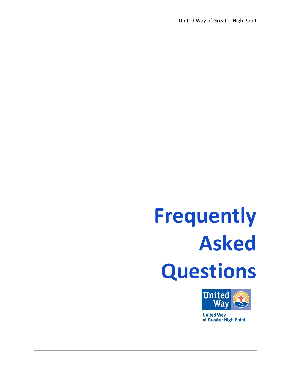# **Frequently Asked Questions**



**United Way** of Greater High Point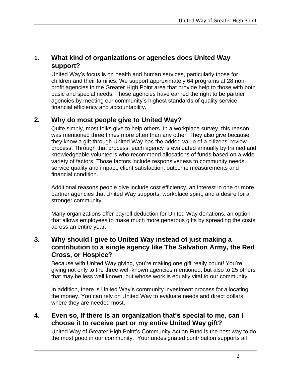# **1. What kind of organizations or agencies does United Way support?**

United Way's focus is on health and human services, particularly those for children and their families. We support approximately 64 programs at 28 nonprofit agencies in the Greater High Point area that provide help to those with both basic and special needs. These agencies have earned the right to be partner agencies by meeting our community's highest standards of quality service, financial efficiency and accountability.

# **2. Why do most people give to United Way?**

Quite simply, most folks give to help others. In a workplace survey, this reason was mentioned three times more often than any other. They also give because they know a gift through United Way has the added value of a citizens' review process. Through that process, each agency is evaluated annually by trained and knowledgeable volunteers who recommend allocations of funds based on a wide variety of factors. Those factors include responsiveness to community needs, service quality and impact, client satisfaction, outcome measurements and financial condition.

Additional reasons people give include cost efficiency, an interest in one or more partner agencies that United Way supports, workplace spirit, and a desire for a stronger community.

Many organizations offer payroll deduction for United Way donations, an option that allows employees to make much more generous gifts by spreading the costs across an entire year.

# **3. Why should I give to United Way instead of just making a contribution to a single agency like The Salvation Army, the Red Cross, or Hospice?**

Because with United Way giving, you're making one gift really count! You're giving not only to the three well-known agencies mentioned, but also to 25 others that may be less well known, but whose work is equally vital to our community.

In addition, there is United Way's community investment process for allocating the money. You can rely on United Way to evaluate needs and direct dollars where they are needed most.

# **4. Even so, if there is an organization that's special to me, can I choose it to receive part or my entire United Way gift?**

United Way of Greater High Point's Community Action Fund is the best way to do the most good in our community. Your undesignated contribution supports all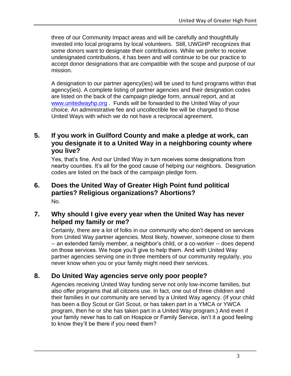three of our Community Impact areas and will be carefully and thoughtfully invested into local programs by local volunteers. Still, UWGHP recognizes that some donors want to designate their contributions. While we prefer to receive undesignated contributions, it has been and will continue to be our practice to accept donor designations that are compatible with the scope and purpose of our mission.

A designation to our partner agency(ies) will be used to fund programs within that agency(ies). A complete listing of partner agencies and their designation codes are listed on the back of the campaign pledge form, annual report, and at [www.unitedwayhp.org](http://www.unitedwayhp.org/) . Funds will be forwarded to the United Way of your choice. An administrative fee and uncollectible fee will be charged to those United Ways with which we do not have a reciprocal agreement.

# **5. If you work in Guilford County and make a pledge at work, can you designate it to a United Way in a neighboring county where you live?**

Yes, that's fine. And our United Way in turn receives some designations from nearby counties. It's all for the good cause of helping our neighbors. Designation codes are listed on the back of the campaign pledge form.

## **6. Does the United Way of Greater High Point fund political parties? Religious organizations? Abortions?** No.

# **7. Why should I give every year when the United Way has never helped my family or me?**

Certainly, there are a lot of folks in our community who don't depend on services from United Way partner agencies. Most likely, however, someone close to them -- an extended family member, a neighbor's child, or a co-worker -- does depend on those services. We hope you'll give to help them. And with United Way partner agencies serving one in three members of our community regularly, you never know when you or your family might need their services.

# **8. Do United Way agencies serve only poor people?**

Agencies receiving United Way funding serve not only low-income families, but also offer programs that all citizens use. In fact, one out of three children and their families in our community are served by a United Way agency. (If your child has been a Boy Scout or Girl Scout, or has taken part in a YMCA or YWCA program, then he or she has taken part in a United Way program.) And even if your family never has to call on Hospice or Family Service, isn't it a good feeling to know they'll be there if you need them?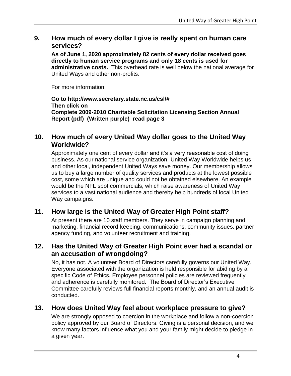# **9. How much of every dollar I give is really spent on human care services?**

**As of June 1, 2020 approximately 82 cents of every dollar received goes directly to human service programs and only 18 cents is used for administrative costs.** This overhead rate is well below the national average for United Ways and other non-profits.

For more information:

**Go to http://www.secretary.state.nc.us/csl/# Then click on Complete 2009-2010 Charitable Solicitation Licensing Section Annual Report (pdf) (Written purple) read page 3**

## **10. How much of every United Way dollar goes to the United Way Worldwide?**

Approximately one cent of every dollar and it's a very reasonable cost of doing business. As our national service organization, United Way Worldwide helps us and other local, independent United Ways save money. Our membership allows us to buy a large number of quality services and products at the lowest possible cost, some which are unique and could not be obtained elsewhere. An example would be the NFL spot commercials, which raise awareness of United Way services to a vast national audience and thereby help hundreds of local United Way campaigns.

#### **11. How large is the United Way of Greater High Point staff?**

At present there are 10 staff members. They serve in campaign planning and marketing, financial record-keeping, communications, community issues, partner agency funding, and volunteer recruitment and training.

#### **12. Has the United Way of Greater High Point ever had a scandal or an accusation of wrongdoing?**

No, it has not. A volunteer Board of Directors carefully governs our United Way. Everyone associated with the organization is held responsible for abiding by a specific Code of Ethics. Employee personnel policies are reviewed frequently and adherence is carefully monitored. The Board of Director's Executive Committee carefully reviews full financial reports monthly, and an annual audit is conducted.

#### **13. How does United Way feel about workplace pressure to give?**

We are strongly opposed to coercion in the workplace and follow a non-coercion policy approved by our Board of Directors. Giving is a personal decision, and we know many factors influence what you and your family might decide to pledge in a given year.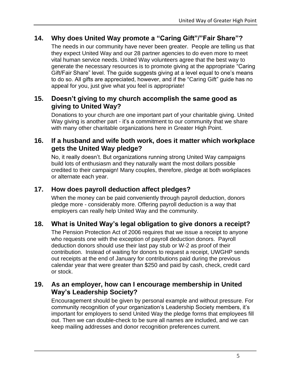# **14. Why does United Way promote a "Caring Gift"/"Fair Share"?**

The needs in our community have never been greater. People are telling us that they expect United Way and our 28 partner agencies to do even more to meet vital human service needs. United Way volunteers agree that the best way to generate the necessary resources is to promote giving at the appropriate "Caring Gift/Fair Share" level. The guide suggests giving at a level equal to one's means to do so. All gifts are appreciated, however, and if the "Caring Gift" guide has no appeal for you, just give what you feel is appropriate!

# **15. Doesn't giving to my church accomplish the same good as giving to United Way?**

Donations to your church are one important part of your charitable giving. United Way giving is another part - it's a commitment to our community that we share with many other charitable organizations here in Greater High Point.

#### **16. If a husband and wife both work, does it matter which workplace gets the United Way pledge?**

No, it really doesn't. But organizations running strong United Way campaigns build lots of enthusiasm and they naturally want the most dollars possible credited to their campaign! Many couples, therefore, pledge at both workplaces or alternate each year.

## **17. How does payroll deduction affect pledges?**

When the money can be paid conveniently through payroll deduction, donors pledge more - considerably more. Offering payroll deduction is a way that employers can really help United Way and the community.

# **18. What is United Way's legal obligation to give donors a receipt?**

The Pension Protection Act of 2006 requires that we issue a receipt to anyone who requests one with the exception of payroll deduction donors. Payroll deduction donors should use their last pay stub or W-2 as proof of their contribution. Instead of waiting for donors to request a receipt, UWGHP sends out receipts at the end of January for contributions paid during the previous calendar year that were greater than \$250 and paid by cash, check, credit card or stock.

# **19. As an employer, how can I encourage membership in United Way's Leadership Society?**

Encouragement should be given by personal example and without pressure. For community recognition of your organization's Leadership Society members, it's important for employers to send United Way the pledge forms that employees fill out. Then we can double-check to be sure all names are included, and we can keep mailing addresses and donor recognition preferences current.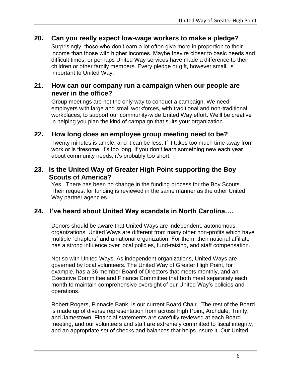#### **20. Can you really expect low-wage workers to make a pledge?**

Surprisingly, those who don't earn a lot often give more in proportion to their income than those with higher incomes. Maybe they're closer to basic needs and difficult times, or perhaps United Way services have made a difference to their children or other family members. Every pledge or gift, however small, is important to United Way.

#### **21. How can our company run a campaign when our people are never in the office?**

Group meetings are not the only way to conduct a campaign. We need employers with large and small workforces, with traditional and non-traditional workplaces, to support our community-wide United Way effort. We'll be creative in helping you plan the kind of campaign that suits your organization.

#### **22. How long does an employee group meeting need to be?**

Twenty minutes is ample, and it can be less. If it takes too much time away from work or is tiresome, it's too long. If you don't learn something new each year about community needs, it's probably too short.

## **23. Is the United Way of Greater High Point supporting the Boy Scouts of America?**

Yes. There has been no change in the funding process for the Boy Scouts. Their request for funding is reviewed in the same manner as the other United Way partner agencies.

#### **24. I've heard about United Way scandals in North Carolina….**

Donors should be aware that United Ways are independent, autonomous organizations. United Ways are different from many other non-profits which have multiple "chapters" and a national organization. For them, their national affiliate has a strong influence over local policies, fund-raising, and staff compensation.

Not so with United Ways. As independent organizations, United Ways are governed by local volunteers. The United Way of Greater High Point, for example, has a 36 member Board of Directors that meets monthly, and an Executive Committee and Finance Committee that both meet separately each month to maintain comprehensive oversight of our United Way's policies and operations.

Robert Rogers, Pinnacle Bank, is our current Board Chair. The rest of the Board is made up of diverse representation from across High Point, Archdale, Trinity, and Jamestown. Financial statements are carefully reviewed at each Board meeting, and our volunteers and staff are extremely committed to fiscal integrity, and an appropriate set of checks and balances that helps insure it. Our United